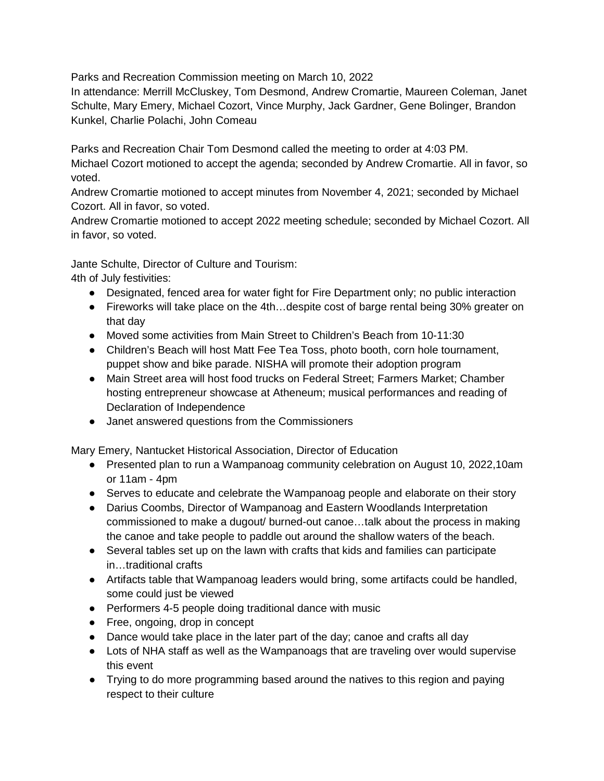Parks and Recreation Commission meeting on March 10, 2022

In attendance: Merrill McCluskey, Tom Desmond, Andrew Cromartie, Maureen Coleman, Janet Schulte, Mary Emery, Michael Cozort, Vince Murphy, Jack Gardner, Gene Bolinger, Brandon Kunkel, Charlie Polachi, John Comeau

Parks and Recreation Chair Tom Desmond called the meeting to order at 4:03 PM. Michael Cozort motioned to accept the agenda; seconded by Andrew Cromartie. All in favor, so voted.

Andrew Cromartie motioned to accept minutes from November 4, 2021; seconded by Michael Cozort. All in favor, so voted.

Andrew Cromartie motioned to accept 2022 meeting schedule; seconded by Michael Cozort. All in favor, so voted.

Jante Schulte, Director of Culture and Tourism:

4th of July festivities:

- Designated, fenced area for water fight for Fire Department only; no public interaction
- Fireworks will take place on the 4th…despite cost of barge rental being 30% greater on that day
- Moved some activities from Main Street to Children's Beach from 10-11:30
- Children's Beach will host Matt Fee Tea Toss, photo booth, corn hole tournament, puppet show and bike parade. NISHA will promote their adoption program
- Main Street area will host food trucks on Federal Street; Farmers Market; Chamber hosting entrepreneur showcase at Atheneum; musical performances and reading of Declaration of Independence
- Janet answered questions from the Commissioners

Mary Emery, Nantucket Historical Association, Director of Education

- Presented plan to run a Wampanoag community celebration on August 10, 2022,10am or 11am - 4pm
- Serves to educate and celebrate the Wampanoag people and elaborate on their story
- Darius Coombs, Director of Wampanoag and Eastern Woodlands Interpretation commissioned to make a dugout/ burned-out canoe…talk about the process in making the canoe and take people to paddle out around the shallow waters of the beach.
- Several tables set up on the lawn with crafts that kids and families can participate in…traditional crafts
- Artifacts table that Wampanoag leaders would bring, some artifacts could be handled, some could just be viewed
- Performers 4-5 people doing traditional dance with music
- Free, ongoing, drop in concept
- Dance would take place in the later part of the day; canoe and crafts all day
- Lots of NHA staff as well as the Wampanoags that are traveling over would supervise this event
- Trying to do more programming based around the natives to this region and paying respect to their culture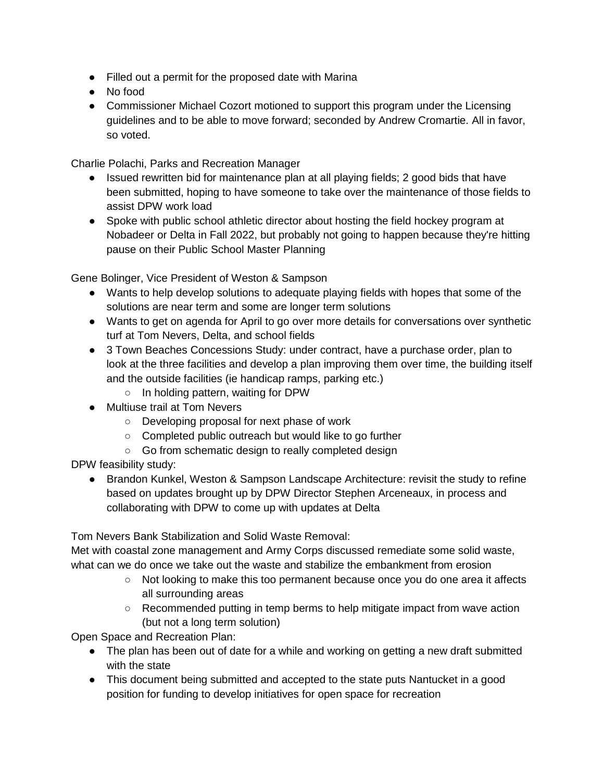- Filled out a permit for the proposed date with Marina
- No food
- Commissioner Michael Cozort motioned to support this program under the Licensing guidelines and to be able to move forward; seconded by Andrew Cromartie. All in favor, so voted.

Charlie Polachi, Parks and Recreation Manager

- Issued rewritten bid for maintenance plan at all playing fields; 2 good bids that have been submitted, hoping to have someone to take over the maintenance of those fields to assist DPW work load
- Spoke with public school athletic director about hosting the field hockey program at Nobadeer or Delta in Fall 2022, but probably not going to happen because they're hitting pause on their Public School Master Planning

Gene Bolinger, Vice President of Weston & Sampson

- Wants to help develop solutions to adequate playing fields with hopes that some of the solutions are near term and some are longer term solutions
- Wants to get on agenda for April to go over more details for conversations over synthetic turf at Tom Nevers, Delta, and school fields
- 3 Town Beaches Concessions Study: under contract, have a purchase order, plan to look at the three facilities and develop a plan improving them over time, the building itself and the outside facilities (ie handicap ramps, parking etc.)
	- In holding pattern, waiting for DPW
- Multiuse trail at Tom Nevers
	- Developing proposal for next phase of work
	- Completed public outreach but would like to go further
	- Go from schematic design to really completed design

DPW feasibility study:

● Brandon Kunkel, Weston & Sampson Landscape Architecture: revisit the study to refine based on updates brought up by DPW Director Stephen Arceneaux, in process and collaborating with DPW to come up with updates at Delta

Tom Nevers Bank Stabilization and Solid Waste Removal:

Met with coastal zone management and Army Corps discussed remediate some solid waste, what can we do once we take out the waste and stabilize the embankment from erosion

- Not looking to make this too permanent because once you do one area it affects all surrounding areas
- Recommended putting in temp berms to help mitigate impact from wave action (but not a long term solution)

Open Space and Recreation Plan:

- The plan has been out of date for a while and working on getting a new draft submitted with the state
- This document being submitted and accepted to the state puts Nantucket in a good position for funding to develop initiatives for open space for recreation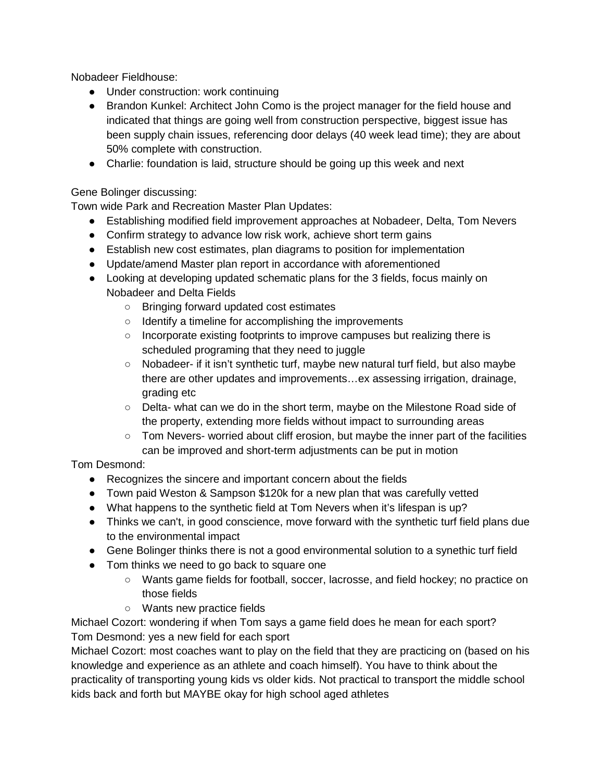Nobadeer Fieldhouse:

- Under construction: work continuing
- Brandon Kunkel: Architect John Como is the project manager for the field house and indicated that things are going well from construction perspective, biggest issue has been supply chain issues, referencing door delays (40 week lead time); they are about 50% complete with construction.
- Charlie: foundation is laid, structure should be going up this week and next

Gene Bolinger discussing:

Town wide Park and Recreation Master Plan Updates:

- Establishing modified field improvement approaches at Nobadeer, Delta, Tom Nevers
- Confirm strategy to advance low risk work, achieve short term gains
- Establish new cost estimates, plan diagrams to position for implementation
- Update/amend Master plan report in accordance with aforementioned
- Looking at developing updated schematic plans for the 3 fields, focus mainly on Nobadeer and Delta Fields
	- Bringing forward updated cost estimates
	- Identify a timeline for accomplishing the improvements
	- Incorporate existing footprints to improve campuses but realizing there is scheduled programing that they need to juggle
	- Nobadeer- if it isn't synthetic turf, maybe new natural turf field, but also maybe there are other updates and improvements…ex assessing irrigation, drainage, grading etc
	- Delta- what can we do in the short term, maybe on the Milestone Road side of the property, extending more fields without impact to surrounding areas
	- $\circ$  Tom Nevers- worried about cliff erosion, but maybe the inner part of the facilities can be improved and short-term adjustments can be put in motion

Tom Desmond:

- Recognizes the sincere and important concern about the fields
- Town paid Weston & Sampson \$120k for a new plan that was carefully vetted
- What happens to the synthetic field at Tom Nevers when it's lifespan is up?
- Thinks we can't, in good conscience, move forward with the synthetic turf field plans due to the environmental impact
- Gene Bolinger thinks there is not a good environmental solution to a synethic turf field
- Tom thinks we need to go back to square one
	- Wants game fields for football, soccer, lacrosse, and field hockey; no practice on those fields
	- Wants new practice fields

Michael Cozort: wondering if when Tom says a game field does he mean for each sport? Tom Desmond: yes a new field for each sport

Michael Cozort: most coaches want to play on the field that they are practicing on (based on his knowledge and experience as an athlete and coach himself). You have to think about the practicality of transporting young kids vs older kids. Not practical to transport the middle school kids back and forth but MAYBE okay for high school aged athletes